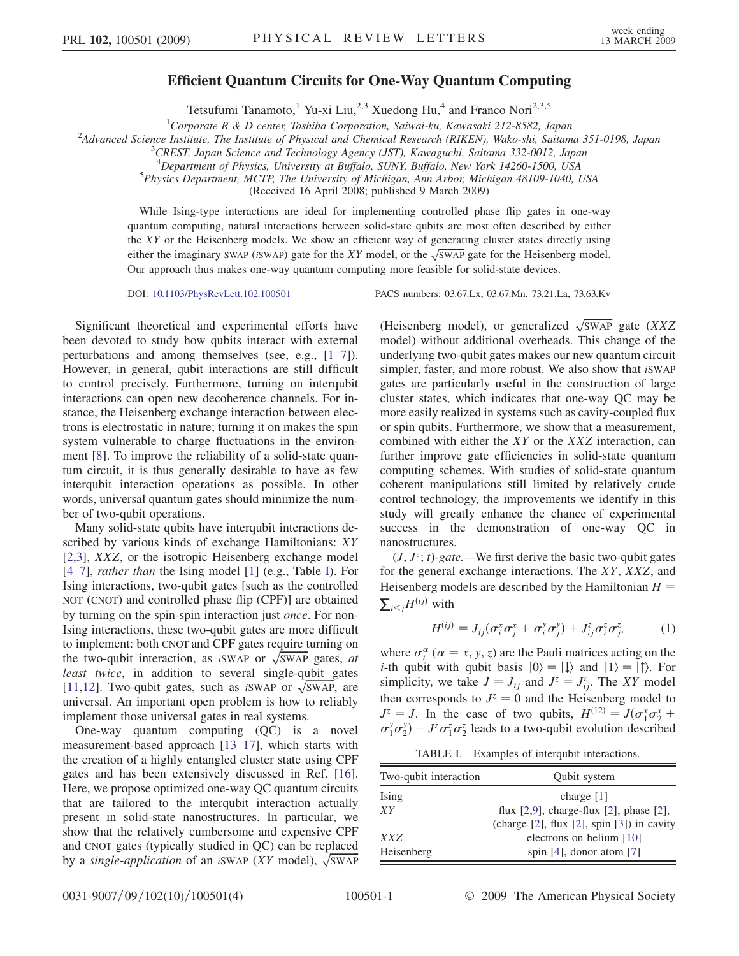## Efficient Quantum Circuits for One-Way Quantum Computing

Tetsufumi Tanamoto,<sup>1</sup> Yu-xi Liu,<sup>2,3</sup> Xuedong Hu,<sup>4</sup> and Franco Nori<sup>2,3,5</sup>

<sup>1</sup>Corporate R & D center, Toshiba Corporation, Saiwai-ku, Kawasaki 212-8582, Japan<br><sup>2</sup>Advanced Science Institute, The Institute of Physical and Chamical Basearch (BIKEN), Wako shi, Saitam

<sup>2</sup>Advanced Science Institute, The Institute of Physical and Chemical Research (RIKEN), Wako-shi, Saitama 351-0198, Japan

<sup>3</sup> CREST, Japan Science and Technology Agency (JST), Kawaguchi, Saitama 332-0012, Japan

<sup>4</sup>Department of Physics, University at Buffalo, SUNY, Buffalo, New York 14260-1500, USA<br><sup>5</sup>Physics Department MCTP The University of Michigan Ann Arbor Michigan 48109, 1040, 1

<sup>5</sup>Physics Department, MCTP, The University of Michigan, Ann Arbor, Michigan 48109-1040, USA

(Received 16 April 2008; published 9 March 2009)

While Ising-type interactions are ideal for implementing controlled phase flip gates in one-way quantum computing, natural interactions between solid-state qubits are most often described by either the XY or the Heisenberg models. We show an efficient way of generating cluster states directly using either the imaginary SWAP (*iSWAP*) gate for the XY model, or the  $\sqrt{\text{SWAP}}$  gate for the Heisenberg model. Our approach thus makes one-way quantum computing more feasible for solid-state devices.

DOI: [10.1103/PhysRevLett.102.100501](http://dx.doi.org/10.1103/PhysRevLett.102.100501) PACS numbers: 03.67.Lx, 03.67.Mn, 73.21.La, 73.63.Kv

Significant theoretical and experimental efforts have been devoted to study how qubits interact with external perturbations and among themselves (see, e.g., [1–7]). However, in general, qubit interactions are still difficult to control precisely. Furthermore, turning on interqubit interactions can open new decoherence channels. For instance, the Heisenberg exchange interaction between electrons is electrostatic in nature; turning it on makes the spin system vulnerable to charge fluctuations in the environment [8]. To improve the reliability of a solid-state quantum circuit, it is thus generally desirable to have as few interqubit interaction operations as possible. In other words, universal quantum gates should minimize the number of two-qubit operations.

Many solid-state qubits have interqubit interactions described by various kinds of exchange Hamiltonians: XY [2,3], XXZ, or the isotropic Heisenberg exchange model [4–7], rather than the Ising model [1] (e.g., Table I). For Ising interactions, two-qubit gates [such as the controlled NOT (CNOT) and controlled phase flip (CPF)] are obtained by turning on the spin-spin interaction just once. For non-Ising interactions, these two-qubit gates are more difficult to implement: both CNOT and CPF gates require turning on the two-qubit interaction, as *iSWAP* or  $\sqrt{\text{SWAP}}$  gates, *at* least twice, in addition to several single-qubit gates [11,12]. Two-qubit gates, such as *iSWAP* or  $\sqrt{\text{SWAP}}$ , are universal. An important open problem is how to reliably implement those universal gates in real systems.

One-way quantum computing (QC) is a novel measurement-based approach [13–17], which starts with the creation of a highly entangled cluster state using CPF gates and has been extensively discussed in Ref. [16]. Here, we propose optimized one-way QC quantum circuits that are tailored to the interqubit interaction actually present in solid-state nanostructures. In particular, we show that the relatively cumbersome and expensive CPF and CNOT gates (typically studied in QC) can be replaced by a single-application of an iSWAP (XY model),  $\sqrt{\text{SWAP}}$ 

(Heisenberg model), or generalized  $\sqrt{\text{SWAP}}$  gate (XXZ model) without additional overheads. This change of the underlying two-qubit gates makes our new quantum circuit simpler, faster, and more robust. We also show that iSWAP gates are particularly useful in the construction of large cluster states, which indicates that one-way QC may be more easily realized in systems such as cavity-coupled flux or spin qubits. Furthermore, we show that a measurement, combined with either the XY or the XXZ interaction, can further improve gate efficiencies in solid-state quantum computing schemes. With studies of solid-state quantum coherent manipulations still limited by relatively crude control technology, the improvements we identify in this study will greatly enhance the chance of experimental success in the demonstration of one-way QC in nanostructures.

 $(J, J^z; t)$ -gate.—We first derive the basic two-qubit gates for the general exchange interactions. The XY, XXZ, and Heisenberg models are described by the Hamiltonian  $H =$  $\sum_{i < j} H^{(ij)}$  with

$$
H^{(ij)} = J_{ij}(\sigma_i^x \sigma_j^x + \sigma_i^y \sigma_j^y) + J_{ij}^z \sigma_i^z \sigma_j^z, \qquad (1)
$$

where  $\sigma_i^{\alpha}$  ( $\alpha = x, y, z$ ) are the Pauli matrices acting on the *i*-th qubit with qubit basis  $|0\rangle = |1\rangle$  and  $|1\rangle = |1\rangle$ . For *i*-th qubit with qubit basis  $|0\rangle = |1\rangle$  and  $|1\rangle = |1\rangle$ . For simplicity, we take  $J = J_{ij}$  and  $J^z = J_{ij}^z$ . The XY model then corresponds to  $J^z = 0$  and the Heisenberg model to  $J^z = J$ . In the case of two qubits,  $H^{(12)} = J(\sigma_1^x \sigma_2^x)$ <br>  $\sigma_y^y \sigma_y^y + J^z \sigma_z^z \sigma_z^z$  leads to a two-qubit evolution describ  $J^2 = J$ . In the case of two qubits,  $H^{(2)} = J(\sigma_1^2 \sigma_2^2 + \sigma_1^2 \sigma_2^2) + J^2 \sigma_1^2 \sigma_2^2$  leads to a two-qubit evolution described

TABLE I. Examples of interqubit interactions.

| Two-qubit interaction | Qubit system                                        |
|-----------------------|-----------------------------------------------------|
| Ising                 | charge $[1]$                                        |
| XΥ                    | flux $[2,9]$ , charge-flux $[2]$ , phase $[2]$ ,    |
|                       | (charge $[2]$ , flux $[2]$ , spin $[3]$ ) in cavity |
| XXZ                   | electrons on helium [10]                            |
| Heisenberg            | spin $[4]$ , donor atom $[7]$                       |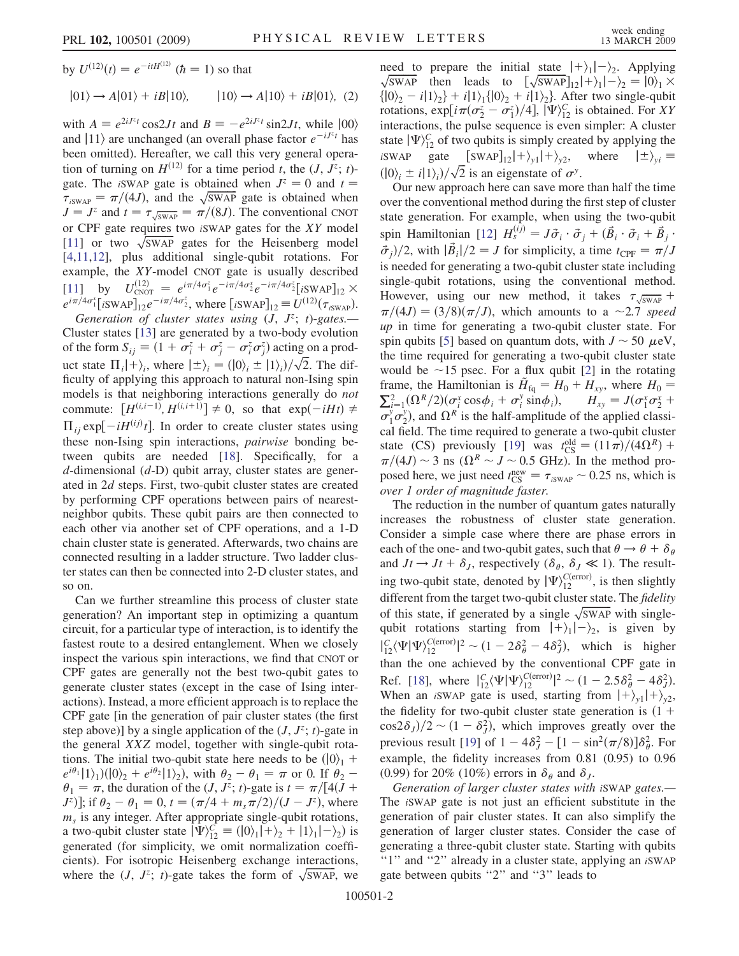<span id="page-1-0"></span>by  $U^{(12)}(t) = e^{-itH^{(12)}}$  ( $\hbar = 1$ ) so that

 $|01\rangle \rightarrow A|01\rangle + iB|10\rangle, \qquad |10\rangle \rightarrow A|10\rangle + iB|01\rangle, \quad (2)$ 

with  $A = e^{2iJ^z t} \cos 2Jt$  and  $B = -e^{2iJ^z t} \sin 2Jt$ , while  $|00\rangle$ <br>and  $|11\rangle$  are unchanged (an overall phase factor  $e^{-iJ^z t}$  has and  $|11\rangle$  are unchanged (an overall phase factor  $e^{-iJz_t}$  has been omitted). Hereafter, we call this very general operation of turning on  $H^{(12)}$  for a time period t, the  $(J, J^z; t)$ gate. The *iSWAP* gate is obtained when  $J^z = 0$  and  $t =$  $\tau_{iswAP} = \pi/(4J)$ , and the  $\sqrt{\text{swAP}}$  gate is obtained when  $I = I^z$  and  $t = \tau \implies \pi/(8 J)$ . The conventional CNOT  $J = J^z$  and  $t = \tau \sqrt{S_{WAP}} = \pi/(8J)$ . The conventional CNOT<br>or CPE gate requires two SWAP gates for the YV model or CPF gate requires two <sup>i</sup>SWAP gates for the XY model [11] or two  $\sqrt{\text{SWAP}}$  gates for the Heisenberg model [4,11,12], plus additional single-qubit rotations. For example, the XY-model CNOT gate is usually described [11] by  $U_{\text{CNOT}}^{(12)} = e^{i\pi/4\sigma_1^z} e^{-i\pi/4\sigma_2^x} e^{-i\pi/4\sigma_2^z} [i\text{SWAP}]_{12} \times$ <br>  $e^{i\pi/4\sigma_1^x} [\text{SWAP}]_{12} e^{-i\pi/4\sigma_2^z}$  where  $[\text{SWAP}]_{12} = U^{(12)}(\sigma)$  $e^{i\pi/4\sigma_1^x}$ [iSWAP]<sub>12</sub>  $e^{-i\pi/4\sigma_2^z}$ , where [iSWAP]<sub>12</sub>  $\equiv U^{(12)}(\tau_{\text{isWAP}})$ .<br>Generation of cluster states using (*I*  $I^z$ ; *t*)-gates

Generation of cluster states using  $(J, J^z; t)$ -gates. Cluster states [13] are generated by a two-body evolution of the form  $S_{ij} \equiv (1 + \sigma_i^2 + \sigma_j^2 - \sigma_i^2 \sigma_j^2)$  acting on a product state  $\Pi_i | + \rangle_i$ , where  $|\pm \rangle_i = (0i_i \pm 1i_i)/\sqrt{2}$ . The difficulty of applying this approach to natural non-Ising spin ficulty of applying this approach to natural non-Ising spin models is that neighboring interactions generally do *not* commute:  $[H^{(i,i-1)}, H^{(i,i+1)}] \neq 0$ , so that  $\exp(-iHt) \neq$ <br>H and  $H^{(i)}(t)$  In order to greate electric using  $\Pi_{ij}$  exp[ $-iH^{(ij)}t$ ]. In order to create cluster states using<br>these non-lsing spin interactions, *nainwise* bonding bethese non-Ising spin interactions, pairwise bonding between qubits are needed [18]. Specifically, for a  $d$ -dimensional  $(d-D)$  qubit array, cluster states are generated in 2d steps. First, two-qubit cluster states are created by performing CPF operations between pairs of nearestneighbor qubits. These qubit pairs are then connected to each other via another set of CPF operations, and a 1-D chain cluster state is generated. Afterwards, two chains are connected resulting in a ladder structure. Two ladder cluster states can then be connected into 2-D cluster states, and so on.

Can we further streamline this process of cluster state generation? An important step in optimizing a quantum circuit, for a particular type of interaction, is to identify the fastest route to a desired entanglement. When we closely inspect the various spin interactions, we find that CNOT or CPF gates are generally not the best two-qubit gates to generate cluster states (except in the case of Ising interactions). Instead, a more efficient approach is to replace the CPF gate [in the generation of pair cluster states (the first step above)] by a single application of the  $(J, J^z; t)$ -gate in the general XXZ model, together with single-qubit rotations. The initial two-qubit state here needs to be  $(0)$ <sup>1</sup> +  $e^{i\theta_1}$ [1)<sub>1</sub>)( $|0\rangle$ <sub>2</sub> +  $e^{i\theta_2}$ [1)<sub>2</sub>), with  $\theta_2 - \theta_1 = \pi$  or 0. If  $\theta_2 - \theta_1 = \pi$  the duration of the (*I*  $I^z \cdot t$ )-gate is  $t = \pi/[4(I +$  $\theta_1 = \pi$ , the duration of the  $(J, J^z; t)$ -gate is  $t = \pi/[4(J +$  $J^z$ ]; if  $\theta_2 - \theta_1 = 0$ ,  $t = (\pi/4 + m_s \pi/2)/(J - J^z)$ , where  $m<sub>s</sub>$  is any integer. After appropriate single-qubit rotations, a two-qubit cluster state  $|\Psi\rangle_{12}^{C} \equiv (0)_{1}|\Psi_{1}+\rangle_{2} + |1\rangle_{1}|\Psi_{2}$  is<br>generated (for simplicity, we omit normalization coeffigenerated (for simplicity, we omit normalization coefficients). For isotropic Heisenberg exchange interactions, where the  $(J, J^z; t)$ -gate takes the form of  $\sqrt{\text{SWAP}}$ , we

need to prepare the initial state  $|+\rangle_1|-\rangle_2$ . Applying  $\sqrt{\text{SWAP}}$  then leads to  $[\sqrt{\text{SWAP}}]_{12}|+\rangle_1|-\rangle_2 = |0\rangle_1 \times$  $\sqrt{\text{SWAP}}$  then leads to  $[\sqrt{\text{SWAP}}]_1^2 + \lambda_1^2 - \lambda_2^2 = 0.0^2$ <br> $\lambda = i(1)\lambda + i(1)\lambda(0)\lambda + i(1)\lambda$  After two single-qubit  $\{|0\rangle_2 - i|1\rangle_2\} + i|1\rangle_1\{|0\rangle_2 + i|1\rangle_2\}$ . After two single-qubit rotations,  $\exp[i\pi(\sigma_2^2 - \sigma_1^2)/4]$ ,  $[\Psi\rangle_{12}^C$  is obtained. For XY interactions, the pulse sequence is even simpler: A cluster state  $|\Psi\rangle_{12}^C$  of two qubits is simply created by applying the iSWAP gate  $\left[\frac{\text{SWAP}}{2}\right]_2 + \frac{\text{VCHI}}{2} + \frac{\text{VCHI}}{2}$ , where  $\left|\frac{+}{2}\right\rangle_{yi} =$  $(|0\rangle_i \pm i|1\rangle_i)/\sqrt{2}$  is an eigenstate of  $\sigma^y$ .<br>Our new approach here can save more

Our new approach here can save more than half the time over the conventional method during the first step of cluster state generation. For example, when using the two-qubit spin Hamiltonian [12]  $H_s^{(ij)} = J \vec{\sigma}_i \cdot \vec{\sigma}_j + (\vec{B}_i \cdot \vec{\sigma}_i + \vec{B}_j \cdot \vec{\sigma}_j) / 2$  with  $|\vec{B}|/2 = I$  for simplicity, a time  $t = \pi/I$  $\frac{d^2}{dt^2}$ , with  $|\vec{B}_i|/2 = J$  for simplicity, a time  $t_{\text{CPF}} = \pi/J$ is needed for generating a two-qubit cluster state including single-qubit rotations, using the conventional method. However, using our new method, it takes  $\tau_{\sqrt{SWAP}} +$ However, using our new method, it takes  $\sqrt[3]{s_{WAP}} + \pi/(4J) = (3/8)(\pi/J)$ , which amounts to a  $\sim 2.7$  speed up in time for generating a two-qubit cluster state. For spin qubits [5] based on quantum dots, with  $J \sim 50 \mu$ eV, the time required for generating a two-qubit cluster state would be ~15 psec. For a flux qubit [2] in the rotating frame, the Hamiltonian is  $\tilde{H}_{\text{fq}} = H_0 + H_{xy}$ , where  $H_0 =$ frame, the Hamiltonian is  $\tilde{H}_{fq} = H_0 + H_{xy}$ , where  $H_0 = \sum_{i=1}^2 (\Omega^R/2)(\sigma_i^x \cos \phi_i + \sigma_i^y \sin \phi_i)$ ,  $H_{xy} = J(\sigma_1^x \sigma_2^x + \sigma_2^y \sigma_1^y)$  and  $\Omega^R$  is the half amplitude of the applied classic  $\sigma_1^y \sigma_2^y$ ), and  $\Omega^R$  is the half-amplitude of the applied classi-<br>cal field. The time required to generate a two-qubit cluster cal field. The time required to generate a two-qubit cluster state (CS) previously [19] was  $t_{\text{CS}}^{\text{old}} = (11\pi)/(4\Omega^R) + \pi/(4\Omega) \approx 3$  ns  $(\Omega^R \sim I \approx 0.5 \text{ GHz})$ . In the method pro- $\pi/(4J) \sim 3$  ns  $(\Omega^R \sim J \sim 0.5$  GHz). In the method proposed here, we just need  $t_{\text{CS}}^{\text{new}} = \tau_{i\text{SWAP}} \sim 0.25 \text{ ns}$ , which is over 1 order of magnitude faster.

The reduction in the number of quantum gates naturally increases the robustness of cluster state generation. Consider a simple case where there are phase errors in each of the one- and two-qubit gates, such that  $\theta \rightarrow \theta + \delta_{\theta}$ and  $Jt \rightarrow Jt + \delta_J$ , respectively  $(\delta_\theta, \delta_J \ll 1)$ . The resulting two-qubit state, denoted by  $|\Psi\rangle_{12}^{C(\text{error})}$ , is then slightly<br>different from the terget two qubit cluster state. The fidelity different from the target two-qubit cluster state. The *fidelity* different from the target two-qubit cluster state. The *fidelity* of this state, if generated by a single  $\sqrt{\text{SWAP}}$  with singlequbit rotations starting from  $|+\rangle_1|-\rangle_2$ , is given by than the one achieved by the conventional CPF gate in  $C_{12}^C \langle \Psi | \Psi \rangle_{12}^{C \text{(error)}} |^2 \sim (1 - 2\delta_\theta^2 - 4\delta_J^2)$ , which is higher Ref. [18], where  $\left| \frac{C}{12} \langle \Psi | \Psi \rangle \frac{C \text{(error)}}{12} \right|^{2} \sim (1 - 2.5 \delta_{\theta}^{2} - 4 \delta_{J}^{2})$ .<br>When an iSWAP gate is used, starting from  $| + \rangle$ ,  $| + \rangle$ . When an iSWAP gate is used, starting from  $|+\rangle_{y1}|+\rangle_{y2}$ ,<br>the fidelity for two qubit cluster state generation is (1+ the fidelity for two-qubit cluster state generation is  $(1 +$  $\cos 2\delta_J/2 \sim (1 - \delta_J^2)$ , which improves greatly over the previous result [19] of  $1 - 4\delta_j^2 - [1 - \sin^2(\pi/8)]\delta_\theta^2$ . For example, the fidelity increases from 0.81 (0.95) to 0.96 (0.99) for 20% (10%) errors in  $\delta_{\theta}$  and  $\delta_{I}$ .

Generation of larger cluster states with iSWAP gates.— The iSWAP gate is not just an efficient substitute in the generation of pair cluster states. It can also simplify the generation of larger cluster states. Consider the case of generating a three-qubit cluster state. Starting with qubits "1" and "2" already in a cluster state, applying an *iSWAP* gate between qubits ''2'' and ''3'' leads to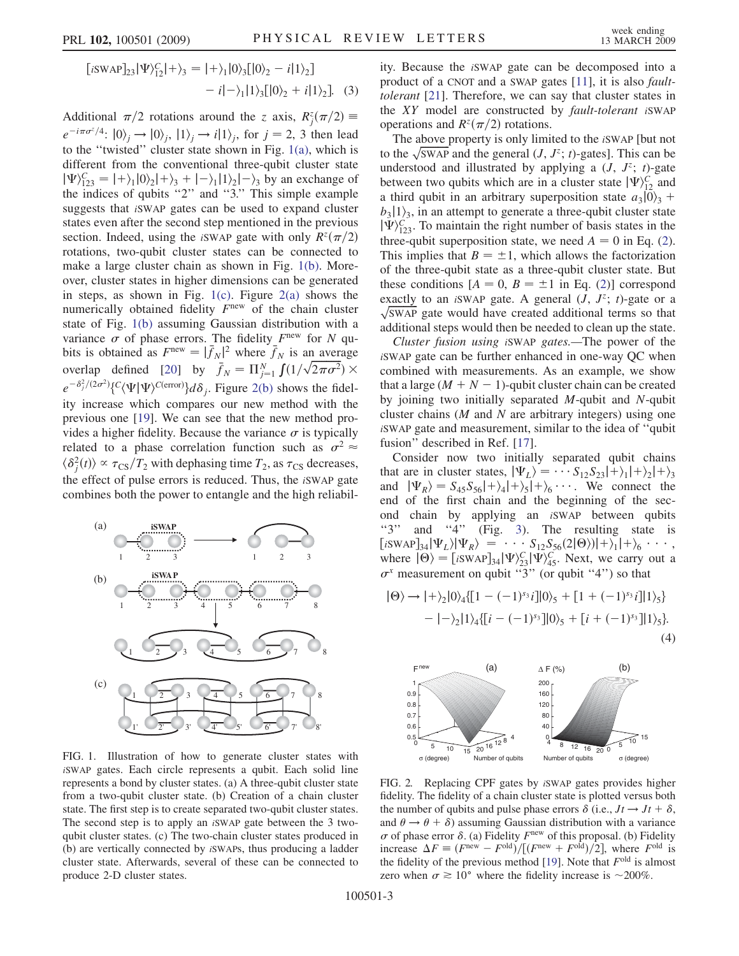$$
[iSWAP]_{23}|\Psi\rangle_{12}^{C}|+\rangle_{3} = |+\rangle_{1}|0\rangle_{3}[|0\rangle_{2} - i|1\rangle_{2}]
$$
  
-  $i|-\rangle_{1}|1\rangle_{3}[|0\rangle_{2} + i|1\rangle_{2}].$  (3)

Additional  $\pi/2$  rotations around the z axis,  $R_j^z(\pi/2) \equiv$ <br> $e^{-i\pi\sigma^z/4}$ ,  $|\phi\rangle = |\phi\rangle - |1\rangle$ ,  $|\phi\rangle = |1\rangle$ , for  $i = 2, 2$ , then lood  $e^{-i\pi\sigma^2/4}$ :  $|0\rangle_i \rightarrow |0\rangle_i$ ,  $|1\rangle_i \rightarrow i|1\rangle_i$ , for  $j = 2, 3$  then lead to the ''twisted'' cluster state shown in Fig. 1(a), which is different from the conventional three-qubit cluster state  $|\Psi\rangle$  $|\Psi\rangle_{123}^C = |+\rangle_1 |0\rangle_2 |+\rangle_3 + |-\rangle_1 |1\rangle_2 |-\rangle_3$  by an exchange of the indices of qubits "2" and "3." This simple example suggests that iSWAP gates can be used to expand cluster states even after the second step mentioned in the previous section. Indeed, using the *iSWAP* gate with only  $R^{z}(\pi/2)$ rotations, two-qubit cluster states can be connected to make a large cluster chain as shown in Fig. 1(b). Moreover, cluster states in higher dimensions can be generated in steps, as shown in Fig.  $1(c)$ . Figure  $2(a)$  shows the numerically obtained fidelity  $F<sup>new</sup>$  of the chain cluster state of Fig. 1(b) assuming Gaussian distribution with a variance  $\sigma$  of phase errors. The fidelity  $F<sup>new</sup>$  for N qubits is obtained as  $F^{\text{new}} = |\bar{f}_N|^2$  where  $\bar{f}_N$  is an average<br>overlap defined  $[20]$  by  $\bar{f} = \Pi^N f(1/\sqrt{2\pi\sigma^2})$ overlap defined [20] by  $\overline{f}_N = \prod_{j=1}^N \int (1/\sqrt{2\pi\sigma^2}) \times$  $e^{-\delta_j^2/(2\sigma^2)}$ {C $\langle\Psi|\Psi\rangle^{C(\text{error})}$ } $d\delta_j$ . Figure 2(b) shows the fidel-<br>ity increase which compares our new method with the f i ity increase which compares our new method with the previous one [19]. We can see that the new method provides a higher fidelity. Because the variance  $\sigma$  is typically related to a phase correlation function such as  $\sigma^2 \approx$  $\langle \delta_j^2(t) \rangle \propto \tau_{CS}/T_2$  with dephasing time  $T_2$ , as  $\tau_{CS}$  decreases,<br>the effect of pulse errors is reduced. Thus, the SWAR gate the effect of pulse errors is reduced. Thus, the iSWAP gate combines both the power to entangle and the high reliabil-



FIG. 1. Illustration of how to generate cluster states with iSWAP gates. Each circle represents a qubit. Each solid line represents a bond by cluster states. (a) A three-qubit cluster state from a two-qubit cluster state. (b) Creation of a chain cluster state. The first step is to create separated two-qubit cluster states. The second step is to apply an iSWAP gate between the 3 twoqubit cluster states. (c) The two-chain cluster states produced in (b) are vertically connected by iSWAPs, thus producing a ladder cluster state. Afterwards, several of these can be connected to produce 2-D cluster states.

ity. Because the iSWAP gate can be decomposed into a product of a CNOT and a SWAP gates [11], it is also faulttolerant [21]. Therefore, we can say that cluster states in the XY model are constructed by fault-tolerant <sup>i</sup>SWAP operations and  $R^{z}(\pi/2)$  rotations.

The above property is only limited to the iSWAP [but not to the  $\sqrt{\text{SWAP}}$  and the general  $(J, J^z; t)$ -gates]. This can be understood and illustrated by applying a  $(J, J^z; t)$ -gate between two qubits which are in a cluster state  $|\Psi\rangle_{12}^C$  and<br>a third qubit in an arbitrary superposition state  $g_2|0\rangle_2 +$ a third qubit in an arbitrary superposition state  $a_3|0\rangle_3 + b_2|1\rangle_2$  in an attempt to generate a three-qubit cluster state  $b_3$ |1 $\lambda_3$ , in an attempt to generate a three-qubit cluster state  $|\Psi\rangle_{123}^C$ . To maintain the right number of basis states in the three-qubit superposition state, we need  $A = 0$  in Eq. (2) three-qubit superposition state, we need  $A = 0$  in Eq. ([2\)](#page-1-0).<br>This implies that  $B = \pm 1$  which allows the factorization This implies that  $B = \pm 1$ , which allows the factorization of the three-qubit state as a three-qubit cluster state. But these conditions  $[A = 0, B = \pm 1 \text{ in Eq. (2)}]$  $[A = 0, B = \pm 1 \text{ in Eq. (2)}]$  $[A = 0, B = \pm 1 \text{ in Eq. (2)}]$  correspond exactly to an *iSWAP* gate. A general  $(\overrightarrow{J}, \overrightarrow{J^z}; t)$ -gate or a  $\sqrt{\text{SWAP}}$  gate would have created additional terms so that additional steps would then be needed to clean up the state.

Cluster fusion using iSWAP gates.—The power of the iSWAP gate can be further enhanced in one-way QC when combined with measurements. As an example, we show that a large  $(M + N - 1)$ -qubit cluster chain can be created by joining two initially separated M-qubit and N-qubit cluster chains  $(M \text{ and } N \text{ are arbitrary integers})$  using one iSWAP gate and measurement, similar to the idea of ''qubit fusion'' described in Ref. [17].

Consider now two initially separated qubit chains that are in cluster states,  $|\Psi_L\rangle = \cdots S_{12}S_{23}|\hat{+}\rangle_1|+\rangle_2|+\rangle_3$ <br>and  $|\Psi_{\rm B}\rangle = S_{12}S_{22}|\hat{+}\rangle_1|+\rangle_2|+\rangle_2...$  We connect the and  $|\Psi_R\rangle = S_{45}S_{56}|+\rangle_4|+\rangle_5|+\rangle_6 \cdots$ . We connect the end of the first chain and the beginning of the secend of the first chain and the beginning of the second chain by applying an iSWAP between qubits "3" and "4" (Fig. [3\)](#page-3-0). The resulting state is  $\left[ \text{isWAP} \right]_{34} \left| \Psi_L \right\rangle \left| \Psi_R \right\rangle = \cdots S_{12} S_{56} (2|\Theta \rangle) | + \rangle_1 | + \rangle_6 \cdots,$ <br>where  $|\Theta \rangle = \left[ \text{isWAP} \right]_2 \left| \Psi \right\rangle^C \text{ Next we carry out a}$ where  $|\Theta\rangle = [iSWAP]_{34} |\Psi\rangle_{23}^C |\Psi\rangle_{45}^C$ . Next, we carry out a  $\sigma^x$  measurement on qubit "3" (or qubit "4") so that

$$
|\Theta\rangle \rightarrow |+\rangle_2 |0\rangle_4 \{ [1 - (-1)^{s_3} i] |0\rangle_5 + [1 + (-1)^{s_3} i] |1\rangle_5 \} - |-\rangle_2 |1\rangle_4 \{ [i - (-1)^{s_3}] |0\rangle_5 + [i + (-1)^{s_3}] |1\rangle_5 \}.
$$
\n(4)



FIG. 2. Replacing CPF gates by iSWAP gates provides higher fidelity. The fidelity of a chain cluster state is plotted versus both the number of qubits and pulse phase errors  $\delta$  (i.e.,  $Jt \rightarrow Jt + \delta$ , and  $\theta \rightarrow \theta + \delta$ ) assuming Gaussian distribution with a variance  $\sigma$  of phase error  $\delta$ . (a) Fidelity  $F<sup>new</sup>$  of this proposal. (b) Fidelity increase  $\Delta F \equiv (F^{\text{new}} - F^{\text{old}}) / [(F^{\text{new}} + F^{\text{old}})/2]$ , where  $F^{\text{old}}$  is the fidelity of the previous method [19]. Note that  $F^{\text{old}}$  is almost the fidelity of the previous method [19]. Note that  $F<sup>old</sup>$  is almost zero when  $\sigma \ge 10^{\circ}$  where the fidelity increase is ~200%.